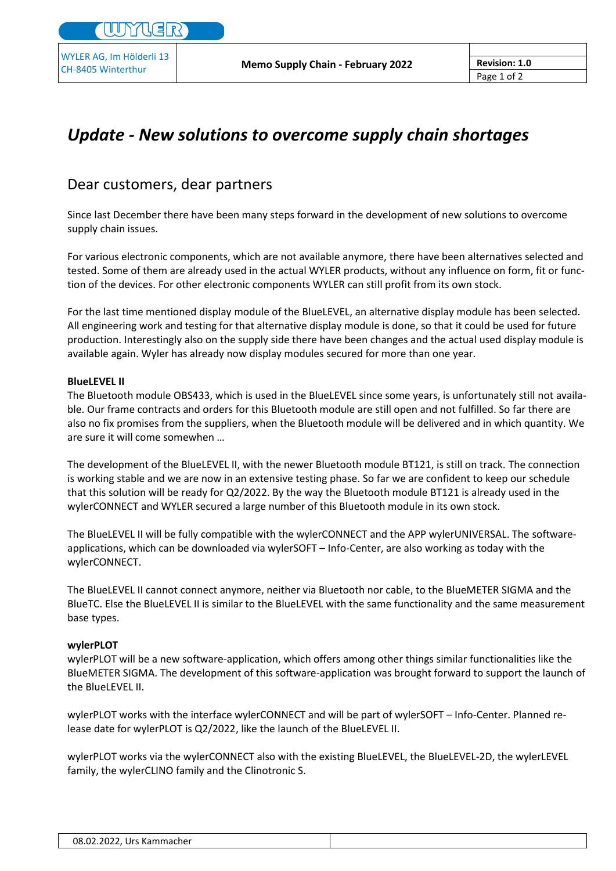## *Update - New solutions to overcome supply chain shortages*

## Dear customers, dear partners

Since last December there have been many steps forward in the development of new solutions to overcome supply chain issues.

For various electronic components, which are not available anymore, there have been alternatives selected and tested. Some of them are already used in the actual WYLER products, without any influence on form, fit or function of the devices. For other electronic components WYLER can still profit from its own stock.

For the last time mentioned display module of the BlueLEVEL, an alternative display module has been selected. All engineering work and testing for that alternative display module is done, so that it could be used for future production. Interestingly also on the supply side there have been changes and the actual used display module is available again. Wyler has already now display modules secured for more than one year.

## **BlueLEVEL II**

The Bluetooth module OBS433, which is used in the BlueLEVEL since some years, is unfortunately still not available. Our frame contracts and orders for this Bluetooth module are still open and not fulfilled. So far there are also no fix promises from the suppliers, when the Bluetooth module will be delivered and in which quantity. We are sure it will come somewhen …

The development of the BlueLEVEL II, with the newer Bluetooth module BT121, is still on track. The connection is working stable and we are now in an extensive testing phase. So far we are confident to keep our schedule that this solution will be ready for Q2/2022. By the way the Bluetooth module BT121 is already used in the wylerCONNECT and WYLER secured a large number of this Bluetooth module in its own stock.

The BlueLEVEL II will be fully compatible with the wylerCONNECT and the APP wylerUNIVERSAL. The softwareapplications, which can be downloaded via wylerSOFT – Info-Center, are also working as today with the wylerCONNECT.

The BlueLEVEL II cannot connect anymore, neither via Bluetooth nor cable, to the BlueMETER SIGMA and the BlueTC. Else the BlueLEVEL II is similar to the BlueLEVEL with the same functionality and the same measurement base types.

## **wylerPLOT**

wylerPLOT will be a new software-application, which offers among other things similar functionalities like the BlueMETER SIGMA. The development of this software-application was brought forward to support the launch of the BlueLEVEL II.

wylerPLOT works with the interface wylerCONNECT and will be part of wylerSOFT – Info-Center. Planned release date for wylerPLOT is Q2/2022, like the launch of the BlueLEVEL II.

wylerPLOT works via the wylerCONNECT also with the existing BlueLEVEL, the BlueLEVEL-2D, the wylerLEVEL family, the wylerCLINO family and the Clinotronic S.

| 08.02.2022, Urs Kammacher |  |
|---------------------------|--|
|---------------------------|--|